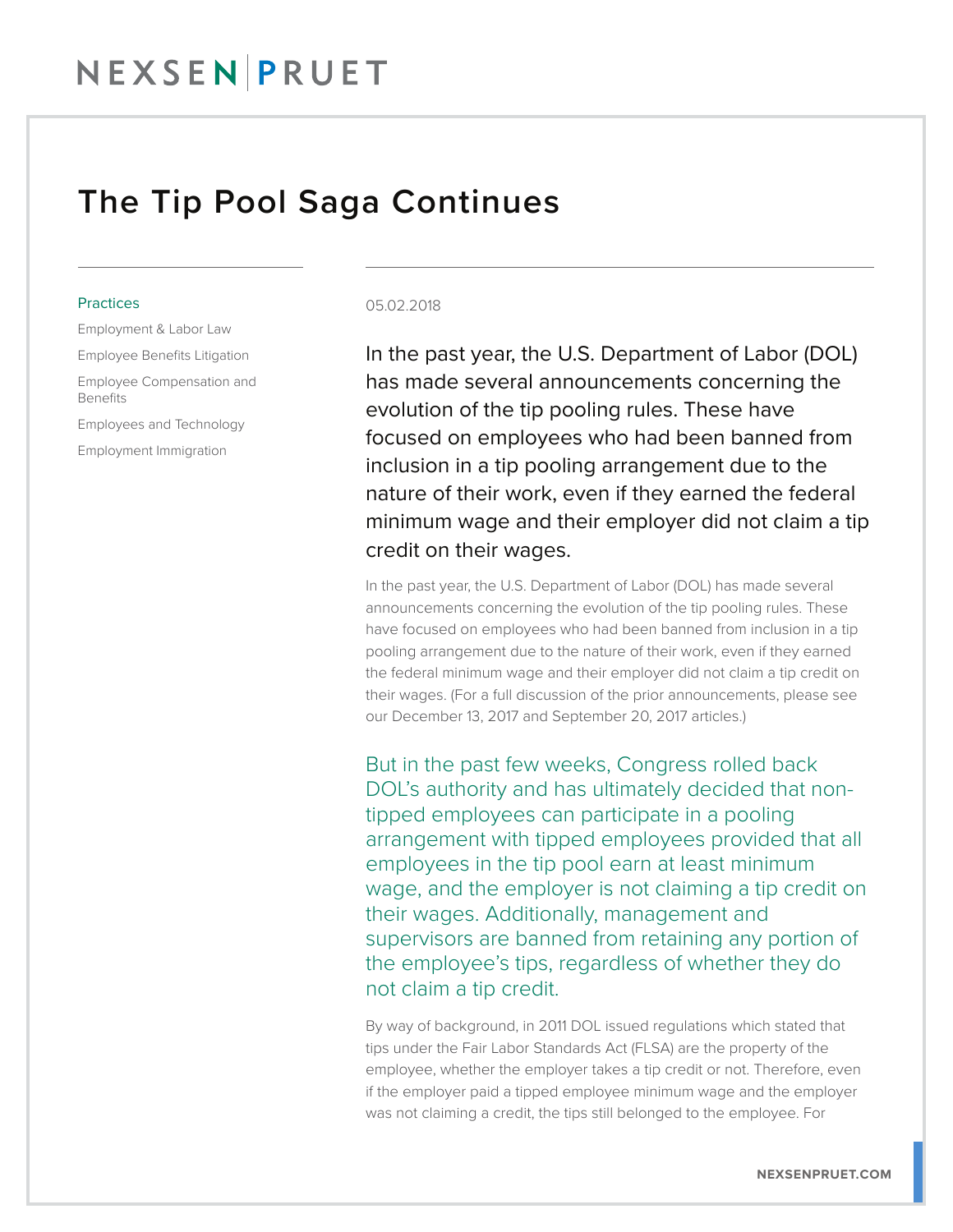## NEXSEN PRUET

### The Tip Pool Saga Continues

#### **Practices**

Employment & Labor Law

Employee Benefits Litigation

Employee Compensation and Benefits

Employees and Technology

Employment Immigration

#### 05.02.2018

In the past year, the U.S. Department of Labor (DOL) has made several announcements concerning the evolution of the tip pooling rules. These have focused on employees who had been banned from inclusion in a tip pooling arrangement due to the nature of their work, even if they earned the federal minimum wage and their employer did not claim a tip credit on their wages.

In the past year, the U.S. Department of Labor (DOL) has made several announcements concerning the evolution of the tip pooling rules. These have focused on employees who had been banned from inclusion in a tip pooling arrangement due to the nature of their work, even if they earned the federal minimum wage and their employer did not claim a tip credit on their wages. (For a full discussion of the prior announcements, please see our December 13, 2017 and September 20, 2017 articles.)

But in the past few weeks, Congress rolled back DOL's authority and has ultimately decided that nontipped employees can participate in a pooling arrangement with tipped employees provided that all employees in the tip pool earn at least minimum wage, and the employer is not claiming a tip credit on their wages. Additionally, management and supervisors are banned from retaining any portion of the employee's tips, regardless of whether they do not claim a tip credit.

By way of background, in 2011 DOL issued regulations which stated that tips under the Fair Labor Standards Act (FLSA) are the property of the employee, whether the employer takes a tip credit or not. Therefore, even if the employer paid a tipped employee minimum wage and the employer was not claiming a credit, the tips still belonged to the employee. For